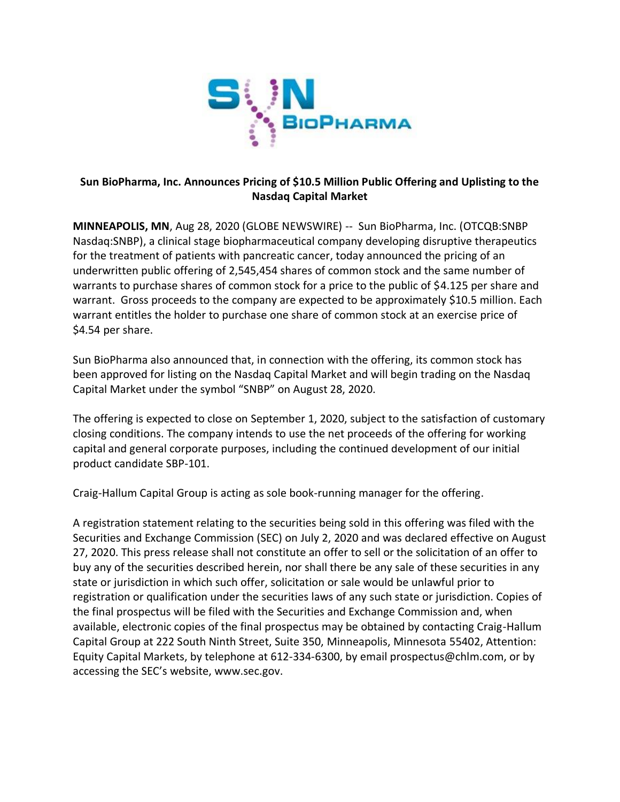

# **Sun BioPharma, Inc. Announces Pricing of \$10.5 Million Public Offering and Uplisting to the Nasdaq Capital Market**

**MINNEAPOLIS, MN**, Aug 28, 2020 (GLOBE NEWSWIRE) -- Sun BioPharma, Inc. (OTCQB:SNBP Nasdaq:SNBP), a clinical stage biopharmaceutical company developing disruptive therapeutics for the treatment of patients with pancreatic cancer, today announced the pricing of an underwritten public offering of 2,545,454 shares of common stock and the same number of warrants to purchase shares of common stock for a price to the public of \$4.125 per share and warrant. Gross proceeds to the company are expected to be approximately \$10.5 million. Each warrant entitles the holder to purchase one share of common stock at an exercise price of \$4.54 per share.

Sun BioPharma also announced that, in connection with the offering, its common stock has been approved for listing on the Nasdaq Capital Market and will begin trading on the Nasdaq Capital Market under the symbol "SNBP" on August 28, 2020.

The offering is expected to close on September 1, 2020, subject to the satisfaction of customary closing conditions. The company intends to use the net proceeds of the offering for working capital and general corporate purposes, including the continued development of our initial product candidate SBP-101.

Craig-Hallum Capital Group is acting as sole book-running manager for the offering.

A registration statement relating to the securities being sold in this offering was filed with the Securities and Exchange Commission (SEC) on July 2, 2020 and was declared effective on August 27, 2020. This press release shall not constitute an offer to sell or the solicitation of an offer to buy any of the securities described herein, nor shall there be any sale of these securities in any state or jurisdiction in which such offer, solicitation or sale would be unlawful prior to registration or qualification under the securities laws of any such state or jurisdiction. Copies of the final prospectus will be filed with the Securities and Exchange Commission and, when available, electronic copies of the final prospectus may be obtained by contacting Craig-Hallum Capital Group at 222 South Ninth Street, Suite 350, Minneapolis, Minnesota 55402, Attention: Equity Capital Markets, by telephone at 612-334-6300, by email prospectus@chlm.com, or by accessing the SEC's website, www.sec.gov.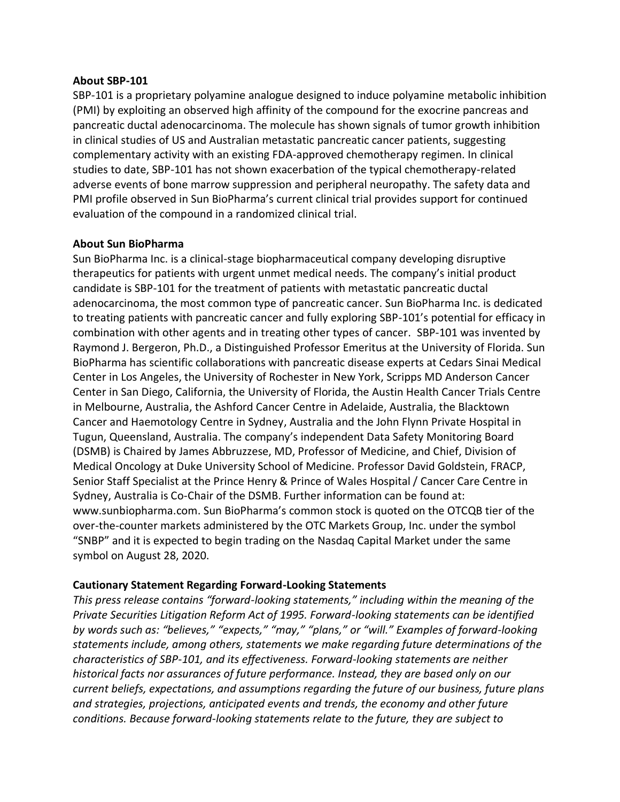#### **About SBP-101**

SBP-101 is a proprietary polyamine analogue designed to induce polyamine metabolic inhibition (PMI) by exploiting an observed high affinity of the compound for the exocrine pancreas and pancreatic ductal adenocarcinoma. The molecule has shown signals of tumor growth inhibition in clinical studies of US and Australian metastatic pancreatic cancer patients, suggesting complementary activity with an existing FDA-approved chemotherapy regimen. In clinical studies to date, SBP-101 has not shown exacerbation of the typical chemotherapy-related adverse events of bone marrow suppression and peripheral neuropathy. The safety data and PMI profile observed in Sun BioPharma's current clinical trial provides support for continued evaluation of the compound in a randomized clinical trial.

### **About Sun BioPharma**

Sun BioPharma Inc. is a clinical-stage biopharmaceutical company developing disruptive therapeutics for patients with urgent unmet medical needs. The company's initial product candidate is SBP-101 for the treatment of patients with metastatic pancreatic ductal adenocarcinoma, the most common type of pancreatic cancer. Sun BioPharma Inc. is dedicated to treating patients with pancreatic cancer and fully exploring SBP-101's potential for efficacy in combination with other agents and in treating other types of cancer. SBP-101 was invented by Raymond J. Bergeron, Ph.D., a Distinguished Professor Emeritus at the University of Florida. Sun BioPharma has scientific collaborations with pancreatic disease experts at Cedars Sinai Medical Center in Los Angeles, the University of Rochester in New York, Scripps MD Anderson Cancer Center in San Diego, California, the University of Florida, the Austin Health Cancer Trials Centre in Melbourne, Australia, the Ashford Cancer Centre in Adelaide, Australia, the Blacktown Cancer and Haemotology Centre in Sydney, Australia and the John Flynn Private Hospital in Tugun, Queensland, Australia. The company's independent Data Safety Monitoring Board (DSMB) is Chaired by James Abbruzzese, MD, Professor of Medicine, and Chief, Division of Medical Oncology at Duke University School of Medicine. Professor David Goldstein, FRACP, Senior Staff Specialist at the Prince Henry & Prince of Wales Hospital / Cancer Care Centre in Sydney, Australia is Co-Chair of the DSMB. Further information can be found at: www.sunbiopharma.com. Sun BioPharma's common stock is quoted on the OTCQB tier of the over-the-counter markets administered by the OTC Markets Group, Inc. under the symbol "SNBP" and it is expected to begin trading on the Nasdaq Capital Market under the same symbol on August 28, 2020.

### **Cautionary Statement Regarding Forward-Looking Statements**

*This press release contains "forward-looking statements," including within the meaning of the Private Securities Litigation Reform Act of 1995. Forward-looking statements can be identified by words such as: "believes," "expects," "may," "plans," or "will." Examples of forward-looking statements include, among others, statements we make regarding future determinations of the characteristics of SBP-101, and its effectiveness. Forward-looking statements are neither historical facts nor assurances of future performance. Instead, they are based only on our current beliefs, expectations, and assumptions regarding the future of our business, future plans and strategies, projections, anticipated events and trends, the economy and other future conditions. Because forward-looking statements relate to the future, they are subject to*